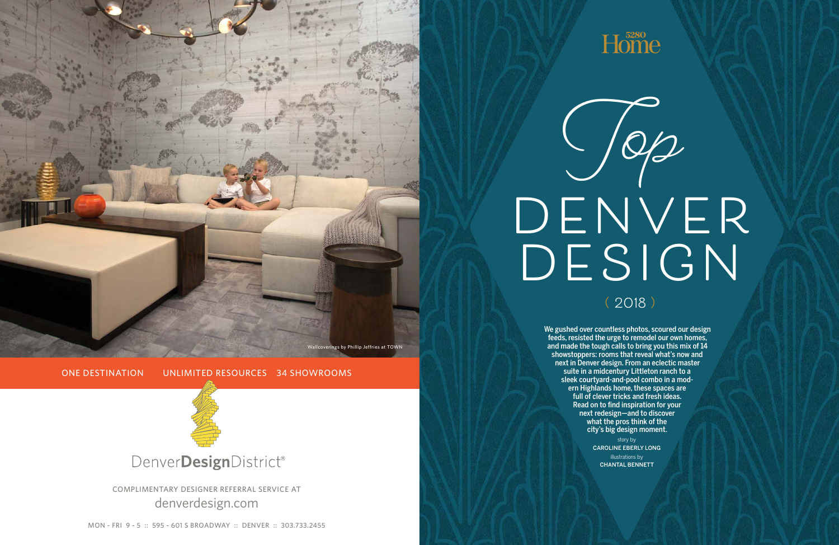

# DENVER DESIGN  $10/2$

MON - FRI 9 - 5 :: 595 - 601 S BROADWAY :: DENVER :: 303.733.2455

## $H<sub>5280</sub>$

COMPLIMENTARY DESIGNER REFERRAL SERVICE AT denverdesign.com

ONE DESTINATION UNLIMITED RESOURCES 34 SHOWROOMS

Wallcoverings by Phillip Jeffries at TOWN



**( 2018 )**

We gushed over countless photos, scoured our design feeds, resisted the urge to remodel our own homes, and made the tough calls to bring you this mix of 14 showstoppers: rooms that reveal what's now and next in Denver design. From an eclectic master suite in a midcentury Littleton ranch to a sleek courtyard-and-pool combo in a modern Highlands home, these spaces are full of clever tricks and fresh ideas. Read on to find inspiration for your next redesign—and to discover what the pros think of the city's big design moment. story by CAROLINE EBERLY LONG illustrations by CHANTAL BENNETT